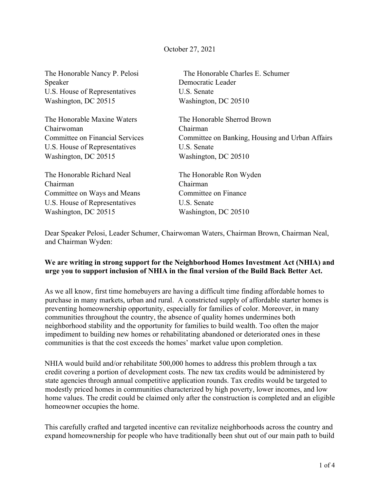## October 27, 2021

Speaker Democratic Leader U.S. House of Representatives U.S. Senate Washington, DC 20515 Washington, DC 20510

The Honorable Maxine Waters The Honorable Sherrod Brown Chairwoman Chairman U.S. House of Representatives U.S. Senate Washington, DC 20515 Washington, DC 20510

The Honorable Richard Neal The Honorable Ron Wyden Chairman Chairman Committee on Ways and Means Committee on Finance U.S. House of Representatives U.S. Senate Washington, DC 20515 Washington, DC 20510

The Honorable Nancy P. Pelosi The Honorable Charles E. Schumer

Committee on Financial Services Committee on Banking, Housing and Urban Affairs

Dear Speaker Pelosi, Leader Schumer, Chairwoman Waters, Chairman Brown, Chairman Neal, and Chairman Wyden:

## **We are writing in strong support for the Neighborhood Homes Investment Act (NHIA) and urge you to support inclusion of NHIA in the final version of the Build Back Better Act.**

As we all know, first time homebuyers are having a difficult time finding affordable homes to purchase in many markets, urban and rural. A constricted supply of affordable starter homes is preventing homeownership opportunity, especially for families of color. Moreover, in many communities throughout the country, the absence of quality homes undermines both neighborhood stability and the opportunity for families to build wealth. Too often the major impediment to building new homes or rehabilitating abandoned or deteriorated ones in these communities is that the cost exceeds the homes' market value upon completion.

NHIA would build and/or rehabilitate 500,000 homes to address this problem through a tax credit covering a portion of development costs. The new tax credits would be administered by state agencies through annual competitive application rounds. Tax credits would be targeted to modestly priced homes in communities characterized by high poverty, lower incomes, and low home values. The credit could be claimed only after the construction is completed and an eligible homeowner occupies the home.

This carefully crafted and targeted incentive can revitalize neighborhoods across the country and expand homeownership for people who have traditionally been shut out of our main path to build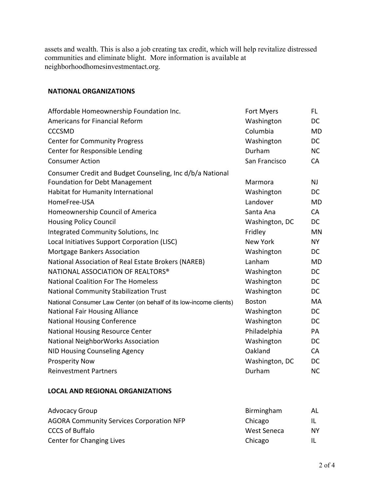assets and wealth. This is also a job creating tax credit, which will help revitalize distressed communities and eliminate blight. More information is available at neighborhoodhomesinvestmentact.org.

## **NATIONAL ORGANIZATIONS**

| Affordable Homeownership Foundation Inc.                           | Fort Myers     | FL.       |
|--------------------------------------------------------------------|----------------|-----------|
| Americans for Financial Reform                                     | Washington     | <b>DC</b> |
| <b>CCCSMD</b>                                                      | Columbia       | MD        |
| <b>Center for Community Progress</b>                               | Washington     | <b>DC</b> |
| Center for Responsible Lending                                     | Durham         | NC        |
| <b>Consumer Action</b>                                             | San Francisco  | CA        |
| Consumer Credit and Budget Counseling, Inc d/b/a National          |                |           |
| <b>Foundation for Debt Management</b>                              | Marmora        | <b>NJ</b> |
| Habitat for Humanity International                                 | Washington     | <b>DC</b> |
| HomeFree-USA                                                       | Landover       | MD        |
| Homeownership Council of America                                   | Santa Ana      | CA        |
| <b>Housing Policy Council</b>                                      | Washington, DC | DC        |
| Integrated Community Solutions, Inc                                | Fridley        | MN        |
| Local Initiatives Support Corporation (LISC)                       | New York       | <b>NY</b> |
| Mortgage Bankers Association                                       | Washington     | <b>DC</b> |
| National Association of Real Estate Brokers (NAREB)                | Lanham         | <b>MD</b> |
| NATIONAL ASSOCIATION OF REALTORS®                                  | Washington     | DC        |
| <b>National Coalition For The Homeless</b>                         | Washington     | <b>DC</b> |
| <b>National Community Stabilization Trust</b>                      | Washington     | <b>DC</b> |
| National Consumer Law Center (on behalf of its low-income clients) | <b>Boston</b>  | MA        |
| <b>National Fair Housing Alliance</b>                              | Washington     | <b>DC</b> |
| <b>National Housing Conference</b>                                 | Washington     | <b>DC</b> |
| <b>National Housing Resource Center</b>                            | Philadelphia   | PA        |
| National NeighborWorks Association                                 | Washington     | <b>DC</b> |
| NID Housing Counseling Agency                                      | Oakland        | <b>CA</b> |
| <b>Prosperity Now</b>                                              | Washington, DC | DC        |
| <b>Reinvestment Partners</b>                                       | Durham         | <b>NC</b> |

## **LOCAL AND REGIONAL ORGANIZATIONS**

| <b>Advocacy Group</b>                           | Birmingham  | AL. |
|-------------------------------------------------|-------------|-----|
| <b>AGORA Community Services Corporation NFP</b> | Chicago     | ΙL  |
| <b>CCCS of Buffalo</b>                          | West Seneca | NY. |
| Center for Changing Lives                       | Chicago     | Ш   |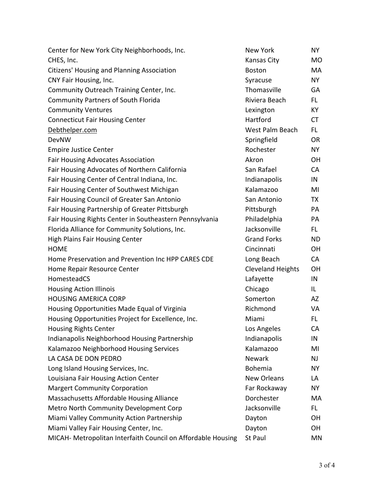| Center for New York City Neighborhoods, Inc.                 | New York                 | NY.       |
|--------------------------------------------------------------|--------------------------|-----------|
| CHES, Inc.                                                   | Kansas City              | <b>MO</b> |
| <b>Citizens' Housing and Planning Association</b>            | <b>Boston</b>            | MA        |
| CNY Fair Housing, Inc.                                       | Syracuse                 | NY        |
| Community Outreach Training Center, Inc.                     | Thomasville              | GA        |
| <b>Community Partners of South Florida</b>                   | Riviera Beach            | FL.       |
| <b>Community Ventures</b>                                    | Lexington                | KY        |
| <b>Connecticut Fair Housing Center</b>                       | Hartford                 | <b>CT</b> |
| Debthelper.com                                               | West Palm Beach          | FL.       |
| <b>DevNW</b>                                                 | Springfield              | <b>OR</b> |
| <b>Empire Justice Center</b>                                 | Rochester                | NY        |
| <b>Fair Housing Advocates Association</b>                    | Akron                    | <b>OH</b> |
| Fair Housing Advocates of Northern California                | San Rafael               | <b>CA</b> |
| Fair Housing Center of Central Indiana, Inc.                 | Indianapolis             | IN        |
| Fair Housing Center of Southwest Michigan                    | Kalamazoo                | MI        |
| Fair Housing Council of Greater San Antonio                  | San Antonio              | TX        |
| Fair Housing Partnership of Greater Pittsburgh               | Pittsburgh               | PA        |
| Fair Housing Rights Center in Southeastern Pennsylvania      | Philadelphia             | PA        |
| Florida Alliance for Community Solutions, Inc.               | Jacksonville             | FL.       |
| <b>High Plains Fair Housing Center</b>                       | <b>Grand Forks</b>       | ND.       |
| <b>HOME</b>                                                  | Cincinnati               | <b>OH</b> |
| Home Preservation and Prevention Inc HPP CARES CDE           | Long Beach               | <b>CA</b> |
| Home Repair Resource Center                                  | <b>Cleveland Heights</b> | <b>OH</b> |
| HomesteadCS                                                  | Lafayette                | IN        |
| <b>Housing Action Illinois</b>                               | Chicago                  | IL.       |
| <b>HOUSING AMERICA CORP</b>                                  | Somerton                 | AZ        |
| Housing Opportunities Made Equal of Virginia                 | Richmond                 | VA        |
| Housing Opportunities Project for Excellence, Inc.           | Miami                    | FL.       |
| <b>Housing Rights Center</b>                                 | Los Angeles              | CA        |
| Indianapolis Neighborhood Housing Partnership                | Indianapolis             | IN        |
| Kalamazoo Neighborhood Housing Services                      | Kalamazoo                | MI        |
| LA CASA DE DON PEDRO                                         | <b>Newark</b>            | NJ        |
| Long Island Housing Services, Inc.                           | Bohemia                  | NY.       |
| Louisiana Fair Housing Action Center                         | <b>New Orleans</b>       | LA        |
| <b>Margert Community Corporation</b>                         | Far Rockaway             | NY.       |
| Massachusetts Affordable Housing Alliance                    | Dorchester               | MA        |
| Metro North Community Development Corp                       | Jacksonville             | FL.       |
| Miami Valley Community Action Partnership                    | Dayton                   | OН        |
| Miami Valley Fair Housing Center, Inc.                       | Dayton                   | OH        |
| MICAH- Metropolitan Interfaith Council on Affordable Housing | St Paul                  | MN        |